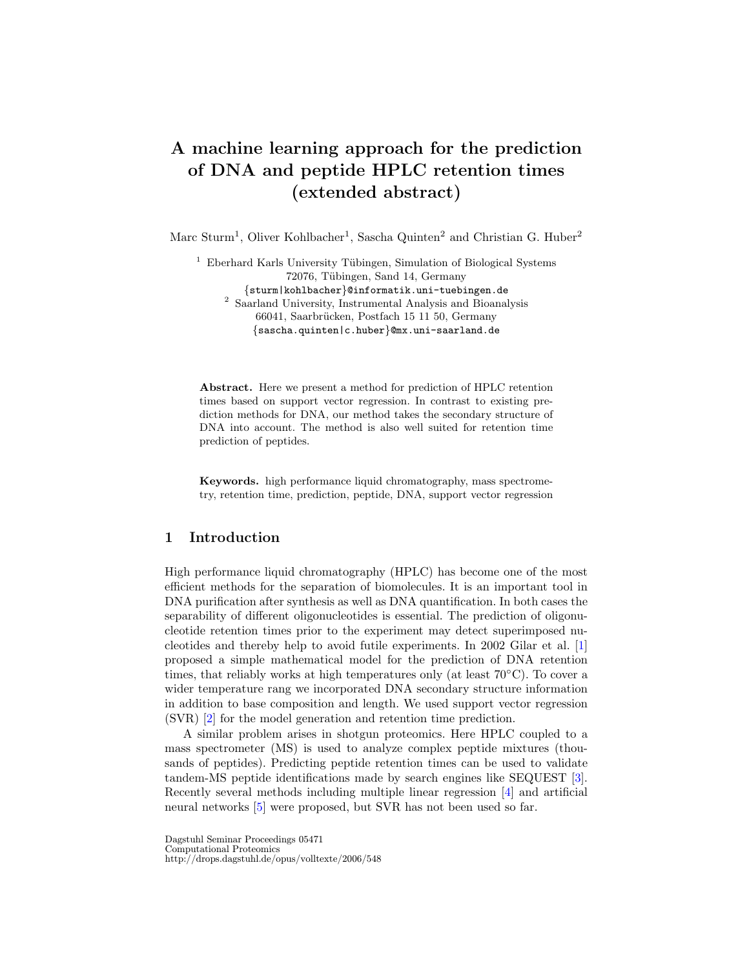# A machine learning approach for the prediction of DNA and peptide HPLC retention times (extended abstract)

Marc Sturm<sup>1</sup>, Oliver Kohlbacher<sup>1</sup>, Sascha Quinten<sup>2</sup> and Christian G. Huber<sup>2</sup>

<sup>1</sup> Eberhard Karls University Tübingen, Simulation of Biological Systems 72076, Tübingen, Sand 14, Germany {sturm|kohlbacher}@informatik.uni-tuebingen.de  $^2\,$  Saarland University, Instrumental Analysis and Bioanalysis 66041, Saarbrücken, Postfach 15 11 50, Germany {sascha.quinten|c.huber}@mx.uni-saarland.de

Abstract. Here we present a method for prediction of HPLC retention times based on support vector regression. In contrast to existing prediction methods for DNA, our method takes the secondary structure of DNA into account. The method is also well suited for retention time prediction of peptides.

Keywords. high performance liquid chromatography, mass spectrometry, retention time, prediction, peptide, DNA, support vector regression

# 1 Introduction

High performance liquid chromatography (HPLC) has become one of the most efficient methods for the separation of biomolecules. It is an important tool in DNA purification after synthesis as well as DNA quantification. In both cases the separability of different oligonucleotides is essential. The prediction of oligonucleotide retention times prior to the experiment may detect superimposed nucleotides and thereby help to avoid futile experiments. In 2002 Gilar et al. [\[1\]](#page-4-0) proposed a simple mathematical model for the prediction of DNA retention times, that reliably works at high temperatures only (at least  $70^{\circ}$ C). To cover a wider temperature rang we incorporated DNA secondary structure information in addition to base composition and length. We used support vector regression (SVR) [\[2\]](#page-4-1) for the model generation and retention time prediction.

A similar problem arises in shotgun proteomics. Here HPLC coupled to a mass spectrometer (MS) is used to analyze complex peptide mixtures (thousands of peptides). Predicting peptide retention times can be used to validate tandem-MS peptide identifications made by search engines like SEQUEST [\[3\]](#page-4-2). Recently several methods including multiple linear regression [\[4\]](#page-4-3) and artificial neural networks [\[5\]](#page-4-4) were proposed, but SVR has not been used so far.

Dagstuhl Seminar Proceedings 05471 Computational Proteomics http://drops.dagstuhl.de/opus/volltexte/2006/548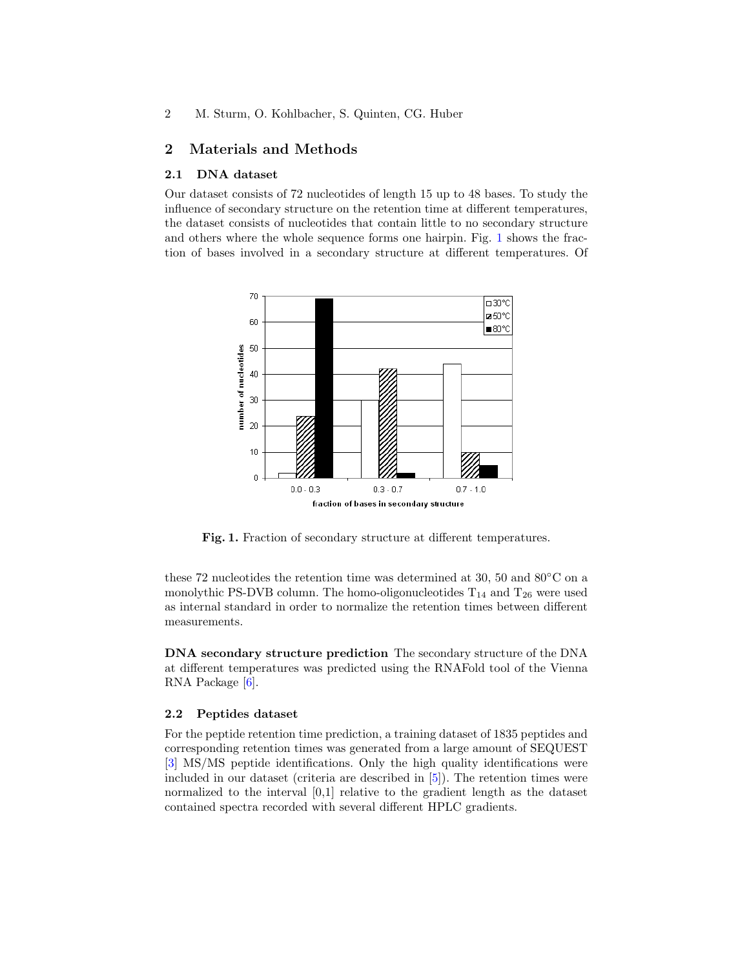## 2 Materials and Methods

#### 2.1 DNA dataset

Our dataset consists of 72 nucleotides of length 15 up to 48 bases. To study the influence of secondary structure on the retention time at different temperatures, the dataset consists of nucleotides that contain little to no secondary structure and others where the whole sequence forms one hairpin. Fig. [1](#page-1-0) shows the fraction of bases involved in a secondary structure at different temperatures. Of



<span id="page-1-0"></span>Fig. 1. Fraction of secondary structure at different temperatures.

these 72 nucleotides the retention time was determined at 30, 50 and 80◦C on a monolythic PS-DVB column. The homo-oligonucleotides  $T_{14}$  and  $T_{26}$  were used as internal standard in order to normalize the retention times between different measurements.

DNA secondary structure prediction The secondary structure of the DNA at different temperatures was predicted using the RNAFold tool of the Vienna RNA Package [\[6\]](#page-4-5).

## 2.2 Peptides dataset

For the peptide retention time prediction, a training dataset of 1835 peptides and corresponding retention times was generated from a large amount of SEQUEST [\[3\]](#page-4-2) MS/MS peptide identifications. Only the high quality identifications were included in our dataset (criteria are described in [\[5\]](#page-4-4)). The retention times were normalized to the interval [0,1] relative to the gradient length as the dataset contained spectra recorded with several different HPLC gradients.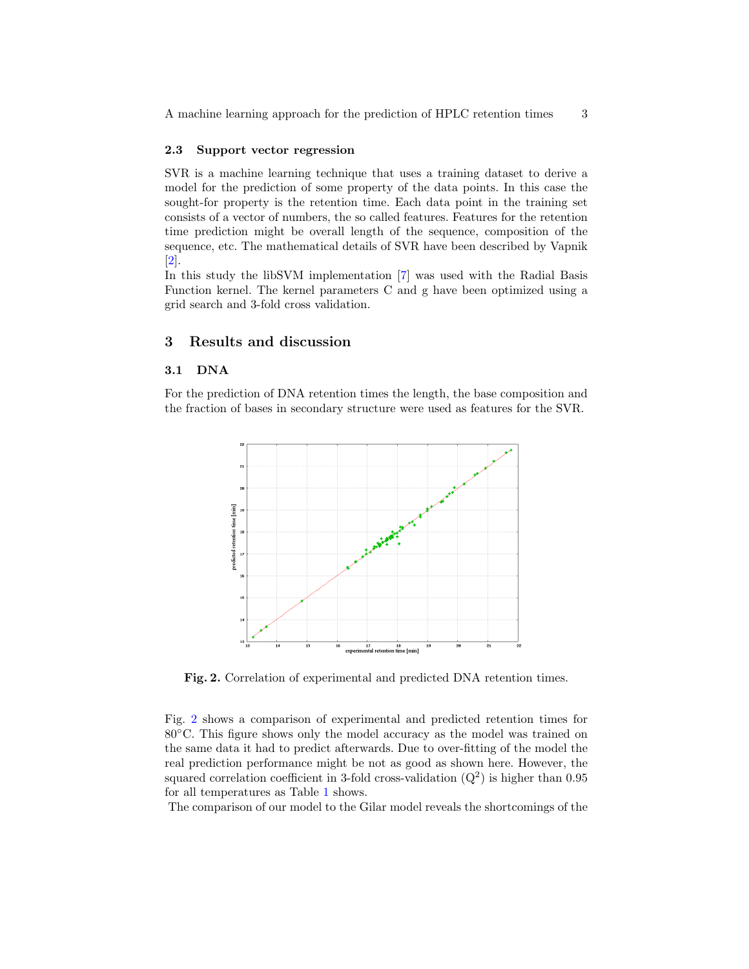## 2.3 Support vector regression

SVR is a machine learning technique that uses a training dataset to derive a model for the prediction of some property of the data points. In this case the sought-for property is the retention time. Each data point in the training set consists of a vector of numbers, the so called features. Features for the retention time prediction might be overall length of the sequence, composition of the sequence, etc. The mathematical details of SVR have been described by Vapnik [\[2\]](#page-4-1).

In this study the libSVM implementation [\[7\]](#page-4-6) was used with the Radial Basis Function kernel. The kernel parameters C and g have been optimized using a grid search and 3-fold cross validation.

## 3 Results and discussion

#### 3.1 DNA

For the prediction of DNA retention times the length, the base composition and the fraction of bases in secondary structure were used as features for the SVR.



<span id="page-2-0"></span>Fig. 2. Correlation of experimental and predicted DNA retention times.

Fig. [2](#page-2-0) shows a comparison of experimental and predicted retention times for 80◦C. This figure shows only the model accuracy as the model was trained on the same data it had to predict afterwards. Due to over-fitting of the model the real prediction performance might be not as good as shown here. However, the squared correlation coefficient in 3-fold cross-validation  $(Q^2)$  is higher than 0.95 for all temperatures as Table [1](#page-3-0) shows.

The comparison of our model to the Gilar model reveals the shortcomings of the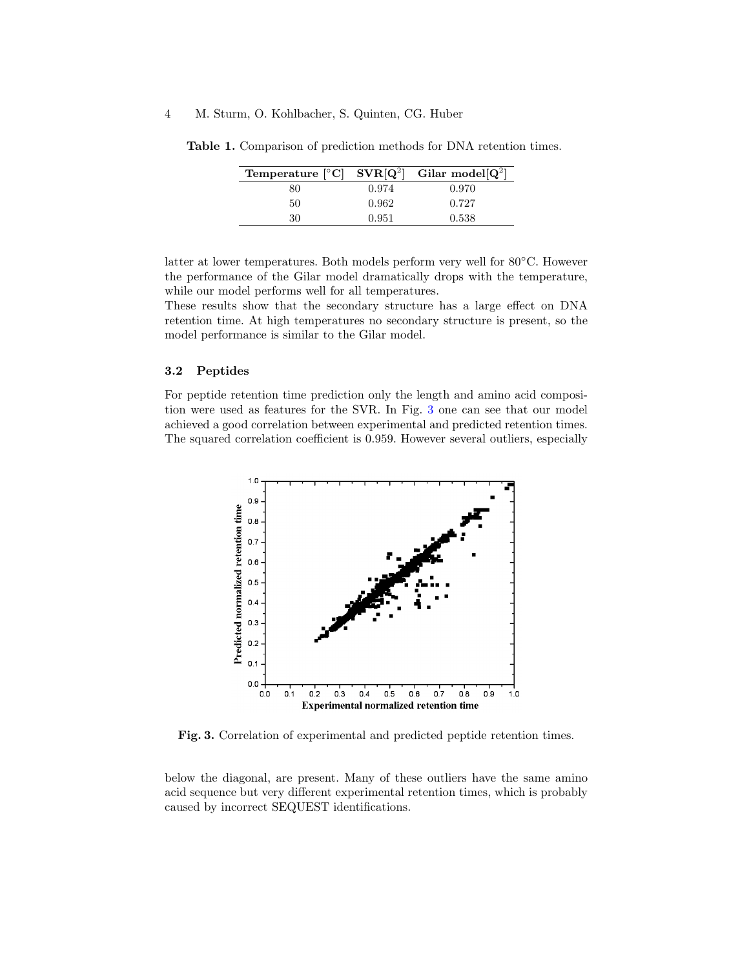## 4 M. Sturm, O. Kohlbacher, S. Quinten, CG. Huber

<span id="page-3-0"></span>

| Temperature $\lceil \degree \text{C} \rceil$ SVR $\lceil \text{Q}^2 \rceil$ Gilar model $\lceil \text{Q}^2 \rceil$ |       |       |
|--------------------------------------------------------------------------------------------------------------------|-------|-------|
| 80                                                                                                                 | 0.974 | 0.970 |
| 50                                                                                                                 | 0.962 | 0.727 |
| 30                                                                                                                 | 0.951 | 0.538 |

Table 1. Comparison of prediction methods for DNA retention times.

latter at lower temperatures. Both models perform very well for 80◦C. However the performance of the Gilar model dramatically drops with the temperature, while our model performs well for all temperatures.

These results show that the secondary structure has a large effect on DNA retention time. At high temperatures no secondary structure is present, so the model performance is similar to the Gilar model.

## 3.2 Peptides

For peptide retention time prediction only the length and amino acid composition were used as features for the SVR. In Fig. [3](#page-3-1) one can see that our model achieved a good correlation between experimental and predicted retention times. The squared correlation coefficient is 0.959. However several outliers, especially



<span id="page-3-1"></span>Fig. 3. Correlation of experimental and predicted peptide retention times.

below the diagonal, are present. Many of these outliers have the same amino acid sequence but very different experimental retention times, which is probably caused by incorrect SEQUEST identifications.